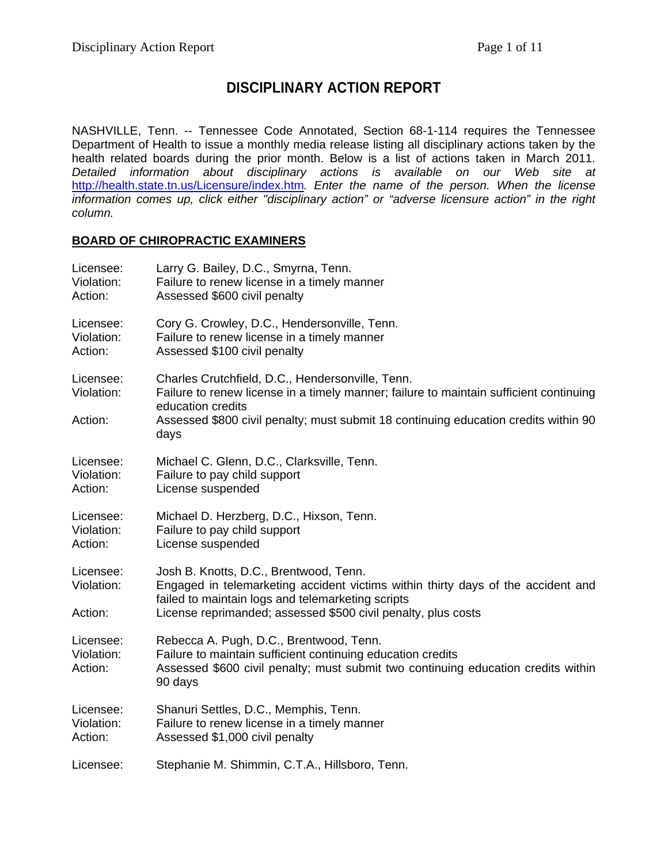# **DISCIPLINARY ACTION REPORT**

NASHVILLE, Tenn. -- Tennessee Code Annotated, Section 68-1-114 requires the Tennessee Department of Health to issue a monthly media release listing all disciplinary actions taken by the health related boards during the prior month. Below is a list of actions taken in March 2011. *Detailed information about disciplinary actions is available on our Web site at*  <http://health.state.tn.us/Licensure/index.htm>*. Enter the name of the person. When the license information comes up, click either "disciplinary action" or "adverse licensure action" in the right column.* 

#### **BOARD OF CHIROPRACTIC EXAMINERS**

| Licensee:                          | Larry G. Bailey, D.C., Smyrna, Tenn.                                                                                                                                                                                                                           |
|------------------------------------|----------------------------------------------------------------------------------------------------------------------------------------------------------------------------------------------------------------------------------------------------------------|
| Violation:                         | Failure to renew license in a timely manner                                                                                                                                                                                                                    |
| Action:                            | Assessed \$600 civil penalty                                                                                                                                                                                                                                   |
| Licensee:                          | Cory G. Crowley, D.C., Hendersonville, Tenn.                                                                                                                                                                                                                   |
| Violation:                         | Failure to renew license in a timely manner                                                                                                                                                                                                                    |
| Action:                            | Assessed \$100 civil penalty                                                                                                                                                                                                                                   |
| Licensee:<br>Violation:<br>Action: | Charles Crutchfield, D.C., Hendersonville, Tenn.<br>Failure to renew license in a timely manner; failure to maintain sufficient continuing<br>education credits<br>Assessed \$800 civil penalty; must submit 18 continuing education credits within 90<br>days |
| Licensee:                          | Michael C. Glenn, D.C., Clarksville, Tenn.                                                                                                                                                                                                                     |
| Violation:                         | Failure to pay child support                                                                                                                                                                                                                                   |
| Action:                            | License suspended                                                                                                                                                                                                                                              |
| Licensee:                          | Michael D. Herzberg, D.C., Hixson, Tenn.                                                                                                                                                                                                                       |
| Violation:                         | Failure to pay child support                                                                                                                                                                                                                                   |
| Action:                            | License suspended                                                                                                                                                                                                                                              |
| Licensee:<br>Violation:<br>Action: | Josh B. Knotts, D.C., Brentwood, Tenn.<br>Engaged in telemarketing accident victims within thirty days of the accident and<br>failed to maintain logs and telemarketing scripts<br>License reprimanded; assessed \$500 civil penalty, plus costs               |
| Licensee:<br>Violation:<br>Action: | Rebecca A. Pugh, D.C., Brentwood, Tenn.<br>Failure to maintain sufficient continuing education credits<br>Assessed \$600 civil penalty; must submit two continuing education credits within<br>90 days                                                         |
| Licensee:                          | Shanuri Settles, D.C., Memphis, Tenn.                                                                                                                                                                                                                          |
| Violation:                         | Failure to renew license in a timely manner                                                                                                                                                                                                                    |
| Action:                            | Assessed \$1,000 civil penalty                                                                                                                                                                                                                                 |
| Licensee:                          | Stephanie M. Shimmin, C.T.A., Hillsboro, Tenn.                                                                                                                                                                                                                 |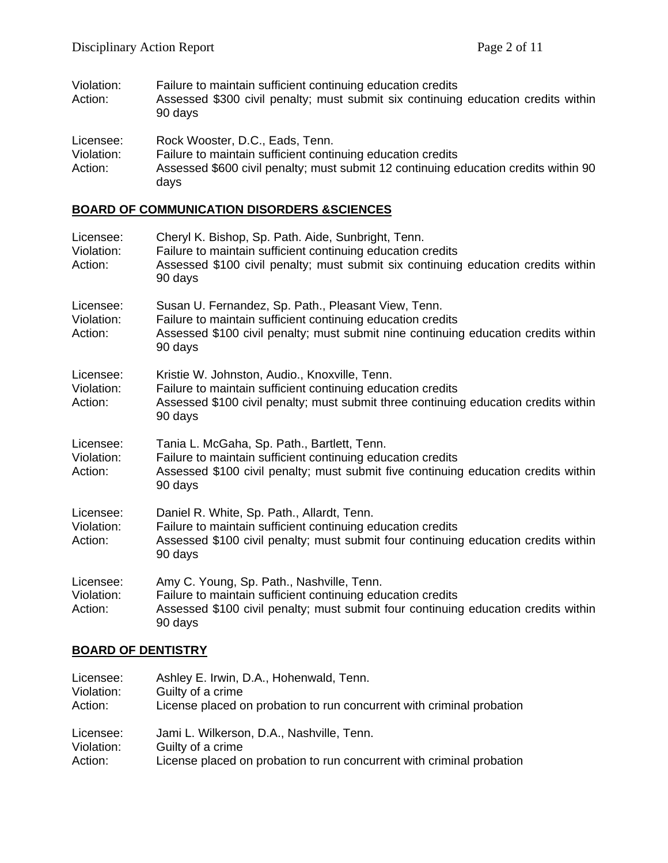| Violation:<br>Action:              | Failure to maintain sufficient continuing education credits<br>Assessed \$300 civil penalty; must submit six continuing education credits within<br>90 days                                   |
|------------------------------------|-----------------------------------------------------------------------------------------------------------------------------------------------------------------------------------------------|
| Licensee:<br>Violation:<br>Action: | Rock Wooster, D.C., Eads, Tenn.<br>Failure to maintain sufficient continuing education credits<br>Assessed \$600 civil penalty; must submit 12 continuing education credits within 90<br>days |

### **BOARD OF COMMUNICATION DISORDERS &SCIENCES**

| Licensee:<br>Violation:<br>Action: | Cheryl K. Bishop, Sp. Path. Aide, Sunbright, Tenn.<br>Failure to maintain sufficient continuing education credits<br>Assessed \$100 civil penalty; must submit six continuing education credits within<br>90 days   |
|------------------------------------|---------------------------------------------------------------------------------------------------------------------------------------------------------------------------------------------------------------------|
| Licensee:<br>Violation:<br>Action: | Susan U. Fernandez, Sp. Path., Pleasant View, Tenn.<br>Failure to maintain sufficient continuing education credits<br>Assessed \$100 civil penalty; must submit nine continuing education credits within<br>90 days |
| Licensee:<br>Violation:<br>Action: | Kristie W. Johnston, Audio., Knoxville, Tenn.<br>Failure to maintain sufficient continuing education credits<br>Assessed \$100 civil penalty; must submit three continuing education credits within<br>90 days      |
| Licensee:<br>Violation:<br>Action: | Tania L. McGaha, Sp. Path., Bartlett, Tenn.<br>Failure to maintain sufficient continuing education credits<br>Assessed \$100 civil penalty; must submit five continuing education credits within<br>90 days         |
| Licensee:<br>Violation:<br>Action: | Daniel R. White, Sp. Path., Allardt, Tenn.<br>Failure to maintain sufficient continuing education credits<br>Assessed \$100 civil penalty; must submit four continuing education credits within<br>90 days          |
| Licensee:<br>Violation:<br>Action: | Amy C. Young, Sp. Path., Nashville, Tenn.<br>Failure to maintain sufficient continuing education credits<br>Assessed \$100 civil penalty; must submit four continuing education credits within<br>90 days           |

# **BOARD OF DENTISTRY**

| Licensee:  | Ashley E. Irwin, D.A., Hohenwald, Tenn.                               |
|------------|-----------------------------------------------------------------------|
| Violation: | Guilty of a crime                                                     |
| Action:    | License placed on probation to run concurrent with criminal probation |
| Licensee:  | Jami L. Wilkerson, D.A., Nashville, Tenn.                             |
| Violation: | Guilty of a crime                                                     |
| Action:    | License placed on probation to run concurrent with criminal probation |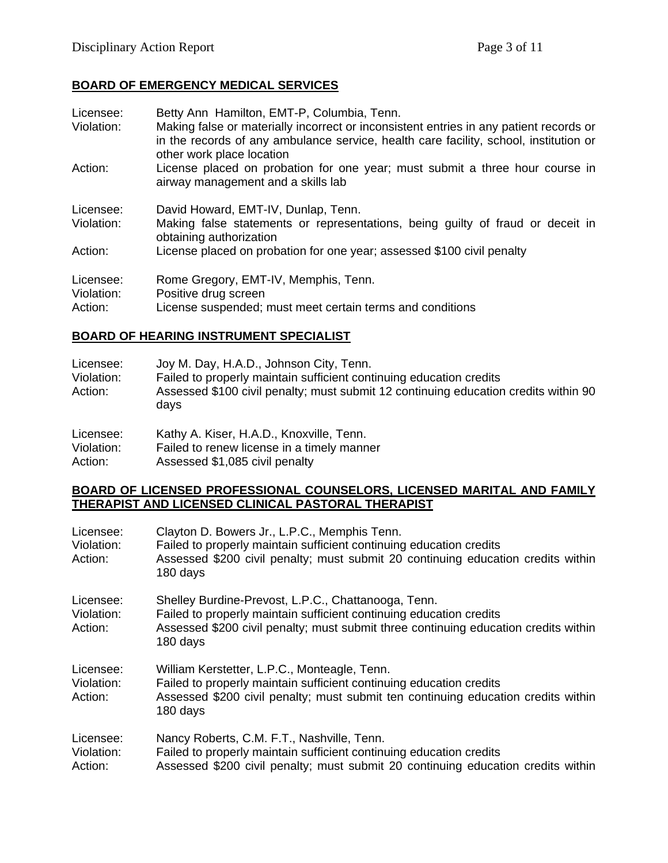## **BOARD OF EMERGENCY MEDICAL SERVICES**

| Licensee:<br>Violation: | Betty Ann Hamilton, EMT-P, Columbia, Tenn.<br>Making false or materially incorrect or inconsistent entries in any patient records or<br>in the records of any ambulance service, health care facility, school, institution or<br>other work place location |
|-------------------------|------------------------------------------------------------------------------------------------------------------------------------------------------------------------------------------------------------------------------------------------------------|
| Action:                 | License placed on probation for one year; must submit a three hour course in<br>airway management and a skills lab                                                                                                                                         |
| Licensee:               | David Howard, EMT-IV, Dunlap, Tenn.                                                                                                                                                                                                                        |
| Violation:              | Making false statements or representations, being quilty of fraud or deceit in<br>obtaining authorization                                                                                                                                                  |
| Action:                 | License placed on probation for one year; assessed \$100 civil penalty                                                                                                                                                                                     |
| Licensee:               | Rome Gregory, EMT-IV, Memphis, Tenn.                                                                                                                                                                                                                       |
| Violation:              | Positive drug screen                                                                                                                                                                                                                                       |
| Action:                 | License suspended; must meet certain terms and conditions                                                                                                                                                                                                  |

#### **BOARD OF HEARING INSTRUMENT SPECIALIST**

| Licensee:<br>Violation:<br>Action: | Joy M. Day, H.A.D., Johnson City, Tenn.<br>Failed to properly maintain sufficient continuing education credits<br>Assessed \$100 civil penalty; must submit 12 continuing education credits within 90<br>days |
|------------------------------------|---------------------------------------------------------------------------------------------------------------------------------------------------------------------------------------------------------------|
| Licensee:                          | Kathy A. Kiser, H.A.D., Knoxville, Tenn.                                                                                                                                                                      |
| Violation:                         | Failed to renew license in a timely manner                                                                                                                                                                    |

Action: Assessed \$1,085 civil penalty

#### **BOARD OF LICENSED PROFESSIONAL COUNSELORS, LICENSED MARITAL AND FAMILY THERAPIST AND LICENSED CLINICAL PASTORAL THERAPIST**

| Licensee:<br>Violation:<br>Action: | Clayton D. Bowers Jr., L.P.C., Memphis Tenn.<br>Failed to properly maintain sufficient continuing education credits<br>Assessed \$200 civil penalty; must submit 20 continuing education credits within<br>180 days           |
|------------------------------------|-------------------------------------------------------------------------------------------------------------------------------------------------------------------------------------------------------------------------------|
| Licensee:<br>Violation:<br>Action: | Shelley Burdine-Prevost, L.P.C., Chattanooga, Tenn.<br>Failed to properly maintain sufficient continuing education credits<br>Assessed \$200 civil penalty; must submit three continuing education credits within<br>180 days |
| Licensee:<br>Violation:<br>Action: | William Kerstetter, L.P.C., Monteagle, Tenn.<br>Failed to properly maintain sufficient continuing education credits<br>Assessed \$200 civil penalty; must submit ten continuing education credits within<br>180 days          |
| Licensee:<br>Violation:<br>Action: | Nancy Roberts, C.M. F.T., Nashville, Tenn.<br>Failed to properly maintain sufficient continuing education credits<br>Assessed \$200 civil penalty; must submit 20 continuing education credits within                         |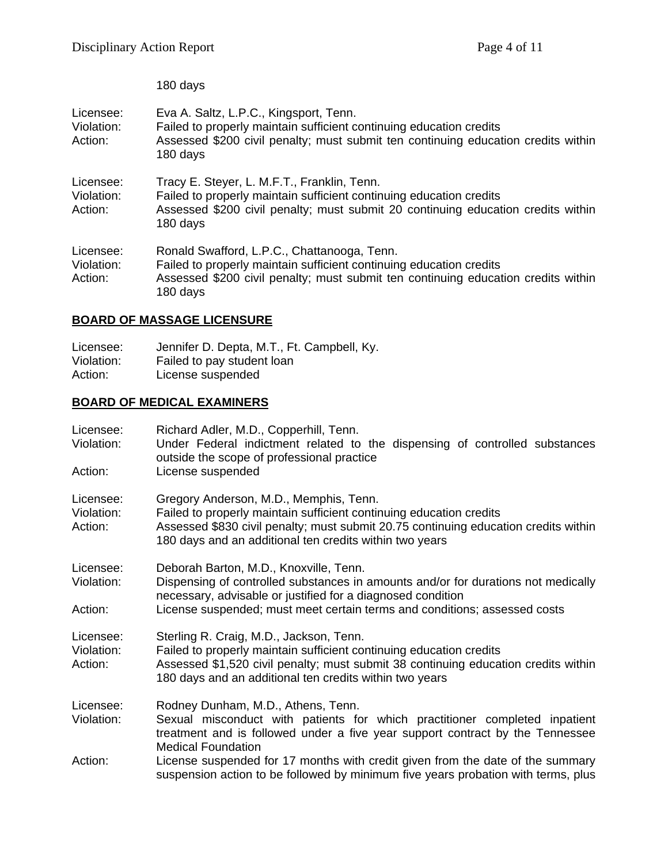180 days

| Licensee:<br>Violation:<br>Action: | Eva A. Saltz, L.P.C., Kingsport, Tenn.<br>Failed to properly maintain sufficient continuing education credits<br>Assessed \$200 civil penalty; must submit ten continuing education credits within<br>180 days      |
|------------------------------------|---------------------------------------------------------------------------------------------------------------------------------------------------------------------------------------------------------------------|
| Licensee:<br>Violation:<br>Action: | Tracy E. Steyer, L. M.F.T., Franklin, Tenn.<br>Failed to properly maintain sufficient continuing education credits<br>Assessed \$200 civil penalty; must submit 20 continuing education credits within<br>180 days  |
| Licensee:<br>Violation:<br>Action: | Ronald Swafford, L.P.C., Chattanooga, Tenn.<br>Failed to properly maintain sufficient continuing education credits<br>Assessed \$200 civil penalty; must submit ten continuing education credits within<br>180 days |

# **BOARD OF MASSAGE LICENSURE**

Licensee: Jennifer D. Depta, M.T., Ft. Campbell, Ky. Violation: Failed to pay student loan Action: License suspended

## **BOARD OF MEDICAL EXAMINERS**

| Licensee:<br>Violation:<br>Action: | Richard Adler, M.D., Copperhill, Tenn.<br>Under Federal indictment related to the dispensing of controlled substances<br>outside the scope of professional practice<br>License suspended                                                                                |
|------------------------------------|-------------------------------------------------------------------------------------------------------------------------------------------------------------------------------------------------------------------------------------------------------------------------|
| Licensee:<br>Violation:<br>Action: | Gregory Anderson, M.D., Memphis, Tenn.<br>Failed to properly maintain sufficient continuing education credits<br>Assessed \$830 civil penalty; must submit 20.75 continuing education credits within<br>180 days and an additional ten credits within two years         |
| Licensee:<br>Violation:<br>Action: | Deborah Barton, M.D., Knoxville, Tenn.<br>Dispensing of controlled substances in amounts and/or for durations not medically<br>necessary, advisable or justified for a diagnosed condition<br>License suspended; must meet certain terms and conditions; assessed costs |
| Licensee:<br>Violation:<br>Action: | Sterling R. Craig, M.D., Jackson, Tenn.<br>Failed to properly maintain sufficient continuing education credits<br>Assessed \$1,520 civil penalty; must submit 38 continuing education credits within<br>180 days and an additional ten credits within two years         |
| Licensee:<br>Violation:            | Rodney Dunham, M.D., Athens, Tenn.<br>Sexual misconduct with patients for which practitioner completed inpatient<br>treatment and is followed under a five year support contract by the Tennessee<br><b>Medical Foundation</b>                                          |
| Action:                            | License suspended for 17 months with credit given from the date of the summary<br>suspension action to be followed by minimum five years probation with terms, plus                                                                                                     |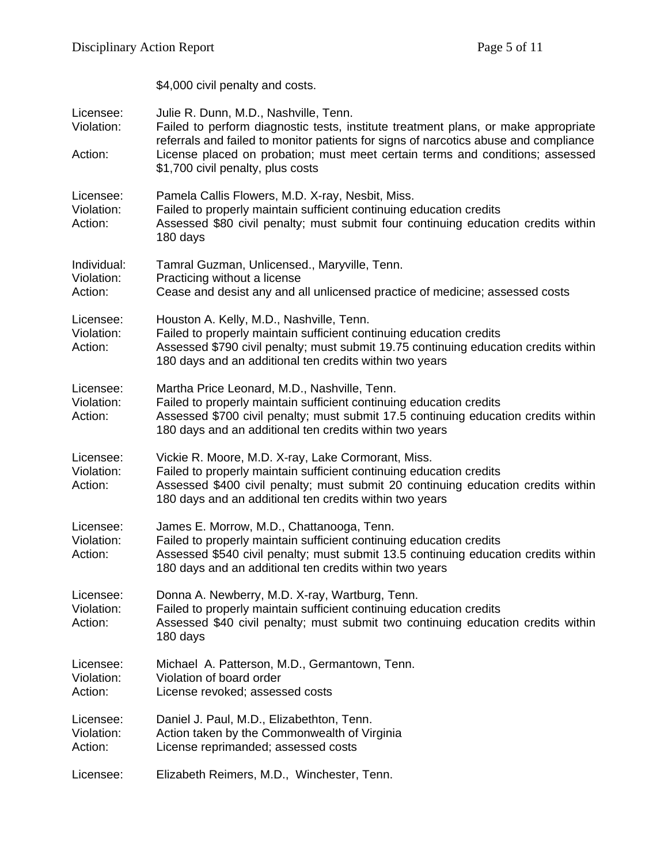|                                      | \$4,000 civil penalty and costs.                                                                                                                                                                                                                                                                                                          |
|--------------------------------------|-------------------------------------------------------------------------------------------------------------------------------------------------------------------------------------------------------------------------------------------------------------------------------------------------------------------------------------------|
| Licensee:<br>Violation:<br>Action:   | Julie R. Dunn, M.D., Nashville, Tenn.<br>Failed to perform diagnostic tests, institute treatment plans, or make appropriate<br>referrals and failed to monitor patients for signs of narcotics abuse and compliance<br>License placed on probation; must meet certain terms and conditions; assessed<br>\$1,700 civil penalty, plus costs |
| Licensee:<br>Violation:<br>Action:   | Pamela Callis Flowers, M.D. X-ray, Nesbit, Miss.<br>Failed to properly maintain sufficient continuing education credits<br>Assessed \$80 civil penalty; must submit four continuing education credits within<br>180 days                                                                                                                  |
| Individual:<br>Violation:<br>Action: | Tamral Guzman, Unlicensed., Maryville, Tenn.<br>Practicing without a license<br>Cease and desist any and all unlicensed practice of medicine; assessed costs                                                                                                                                                                              |
| Licensee:<br>Violation:<br>Action:   | Houston A. Kelly, M.D., Nashville, Tenn.<br>Failed to properly maintain sufficient continuing education credits<br>Assessed \$790 civil penalty; must submit 19.75 continuing education credits within<br>180 days and an additional ten credits within two years                                                                         |
| Licensee:<br>Violation:<br>Action:   | Martha Price Leonard, M.D., Nashville, Tenn.<br>Failed to properly maintain sufficient continuing education credits<br>Assessed \$700 civil penalty; must submit 17.5 continuing education credits within<br>180 days and an additional ten credits within two years                                                                      |
| Licensee:<br>Violation:<br>Action:   | Vickie R. Moore, M.D. X-ray, Lake Cormorant, Miss.<br>Failed to properly maintain sufficient continuing education credits<br>Assessed \$400 civil penalty; must submit 20 continuing education credits within<br>180 days and an additional ten credits within two years                                                                  |
| Licensee:<br>Violation:<br>Action:   | James E. Morrow, M.D., Chattanooga, Tenn.<br>Failed to properly maintain sufficient continuing education credits<br>Assessed \$540 civil penalty; must submit 13.5 continuing education credits within<br>180 days and an additional ten credits within two years                                                                         |
| Licensee:<br>Violation:<br>Action:   | Donna A. Newberry, M.D. X-ray, Wartburg, Tenn.<br>Failed to properly maintain sufficient continuing education credits<br>Assessed \$40 civil penalty; must submit two continuing education credits within<br>180 days                                                                                                                     |
| Licensee:<br>Violation:<br>Action:   | Michael A. Patterson, M.D., Germantown, Tenn.<br>Violation of board order<br>License revoked; assessed costs                                                                                                                                                                                                                              |
| Licensee:<br>Violation:<br>Action:   | Daniel J. Paul, M.D., Elizabethton, Tenn.<br>Action taken by the Commonwealth of Virginia<br>License reprimanded; assessed costs                                                                                                                                                                                                          |
| Licensee:                            | Elizabeth Reimers, M.D., Winchester, Tenn.                                                                                                                                                                                                                                                                                                |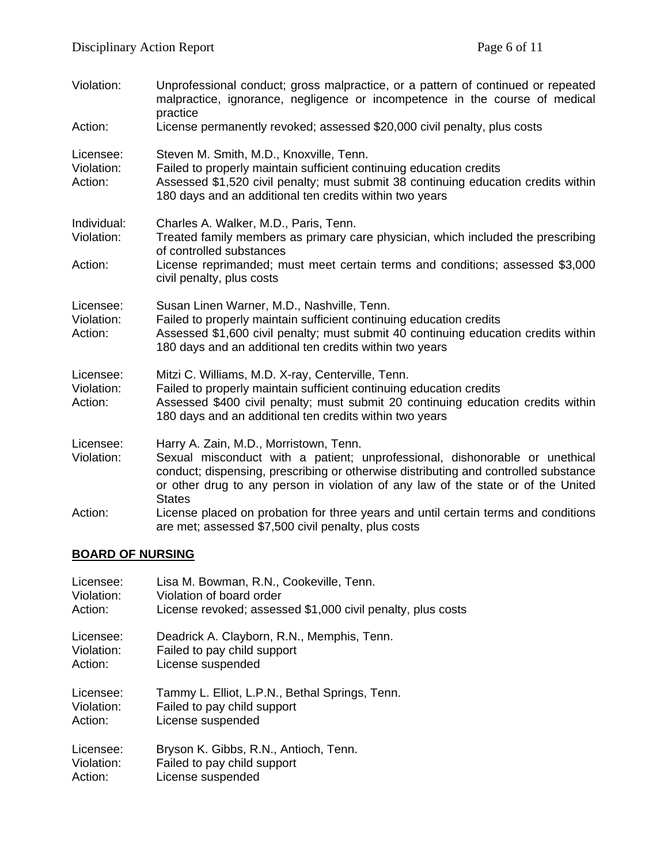| Violation:                         | Unprofessional conduct; gross malpractice, or a pattern of continued or repeated<br>malpractice, ignorance, negligence or incompetence in the course of medical<br>practice                                                                                                                                        |
|------------------------------------|--------------------------------------------------------------------------------------------------------------------------------------------------------------------------------------------------------------------------------------------------------------------------------------------------------------------|
| Action:                            | License permanently revoked; assessed \$20,000 civil penalty, plus costs                                                                                                                                                                                                                                           |
| Licensee:<br>Violation:<br>Action: | Steven M. Smith, M.D., Knoxville, Tenn.<br>Failed to properly maintain sufficient continuing education credits<br>Assessed \$1,520 civil penalty; must submit 38 continuing education credits within<br>180 days and an additional ten credits within two years                                                    |
| Individual:<br>Violation:          | Charles A. Walker, M.D., Paris, Tenn.<br>Treated family members as primary care physician, which included the prescribing<br>of controlled substances                                                                                                                                                              |
| Action:                            | License reprimanded; must meet certain terms and conditions; assessed \$3,000<br>civil penalty, plus costs                                                                                                                                                                                                         |
| Licensee:<br>Violation:<br>Action: | Susan Linen Warner, M.D., Nashville, Tenn.<br>Failed to properly maintain sufficient continuing education credits<br>Assessed \$1,600 civil penalty; must submit 40 continuing education credits within<br>180 days and an additional ten credits within two years                                                 |
| Licensee:<br>Violation:<br>Action: | Mitzi C. Williams, M.D. X-ray, Centerville, Tenn.<br>Failed to properly maintain sufficient continuing education credits<br>Assessed \$400 civil penalty; must submit 20 continuing education credits within<br>180 days and an additional ten credits within two years                                            |
| Licensee:<br>Violation:            | Harry A. Zain, M.D., Morristown, Tenn.<br>Sexual misconduct with a patient; unprofessional, dishonorable or unethical<br>conduct; dispensing, prescribing or otherwise distributing and controlled substance<br>or other drug to any person in violation of any law of the state or of the United<br><b>States</b> |
| Action:                            | License placed on probation for three years and until certain terms and conditions<br>are met; assessed \$7,500 civil penalty, plus costs                                                                                                                                                                          |

# **BOARD OF NURSING**

| Licensee:  | Lisa M. Bowman, R.N., Cookeville, Tenn.                     |
|------------|-------------------------------------------------------------|
| Violation: | Violation of board order                                    |
| Action:    | License revoked; assessed \$1,000 civil penalty, plus costs |
| Licensee:  | Deadrick A. Clayborn, R.N., Memphis, Tenn.                  |
| Violation: | Failed to pay child support                                 |
| Action:    | License suspended                                           |
| Licensee:  | Tammy L. Elliot, L.P.N., Bethal Springs, Tenn.              |
| Violation: | Failed to pay child support                                 |
| Action:    | License suspended                                           |
| Licensee:  | Bryson K. Gibbs, R.N., Antioch, Tenn.                       |
| Violation: | Failed to pay child support                                 |
| Action:    | License suspended                                           |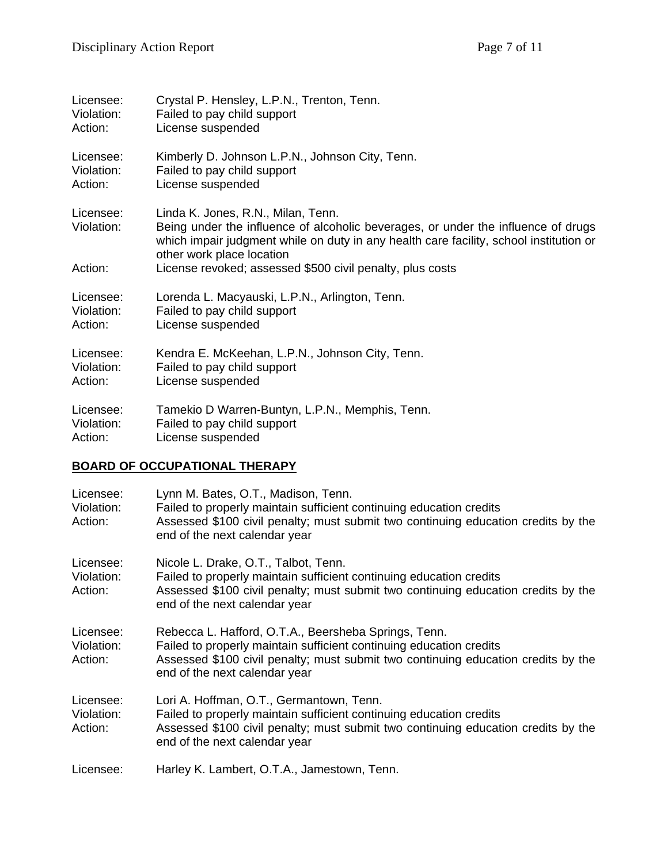| Licensee:               | Crystal P. Hensley, L.P.N., Trenton, Tenn.                                                                                                                                                                                                     |
|-------------------------|------------------------------------------------------------------------------------------------------------------------------------------------------------------------------------------------------------------------------------------------|
| Violation:              | Failed to pay child support                                                                                                                                                                                                                    |
| Action:                 | License suspended                                                                                                                                                                                                                              |
| Licensee:               | Kimberly D. Johnson L.P.N., Johnson City, Tenn.                                                                                                                                                                                                |
| Violation:              | Failed to pay child support                                                                                                                                                                                                                    |
| Action:                 | License suspended                                                                                                                                                                                                                              |
| Licensee:<br>Violation: | Linda K. Jones, R.N., Milan, Tenn.<br>Being under the influence of alcoholic beverages, or under the influence of drugs<br>which impair judgment while on duty in any health care facility, school institution or<br>other work place location |
| Action:                 | License revoked; assessed \$500 civil penalty, plus costs                                                                                                                                                                                      |
| Licensee:               | Lorenda L. Macyauski, L.P.N., Arlington, Tenn.                                                                                                                                                                                                 |
| Violation:              | Failed to pay child support                                                                                                                                                                                                                    |
| Action:                 | License suspended                                                                                                                                                                                                                              |
| Licensee:               | Kendra E. McKeehan, L.P.N., Johnson City, Tenn.                                                                                                                                                                                                |
| Violation:              | Failed to pay child support                                                                                                                                                                                                                    |
| Action:                 | License suspended                                                                                                                                                                                                                              |
| Licensee:               | Tamekio D Warren-Buntyn, L.P.N., Memphis, Tenn.                                                                                                                                                                                                |
| Violation:              | Failed to pay child support                                                                                                                                                                                                                    |
| Action:                 | License suspended                                                                                                                                                                                                                              |

## **BOARD OF OCCUPATIONAL THERAPY**

| Licensee:<br>Violation:<br>Action: | Lynn M. Bates, O.T., Madison, Tenn.<br>Failed to properly maintain sufficient continuing education credits<br>Assessed \$100 civil penalty; must submit two continuing education credits by the<br>end of the next calendar year                  |
|------------------------------------|---------------------------------------------------------------------------------------------------------------------------------------------------------------------------------------------------------------------------------------------------|
| Licensee:<br>Violation:<br>Action: | Nicole L. Drake, O.T., Talbot, Tenn.<br>Failed to properly maintain sufficient continuing education credits<br>Assessed \$100 civil penalty; must submit two continuing education credits by the<br>end of the next calendar year                 |
| Licensee:<br>Violation:<br>Action: | Rebecca L. Hafford, O.T.A., Beersheba Springs, Tenn.<br>Failed to properly maintain sufficient continuing education credits<br>Assessed \$100 civil penalty; must submit two continuing education credits by the<br>end of the next calendar year |
| Licensee:<br>Violation:<br>Action: | Lori A. Hoffman, O.T., Germantown, Tenn.<br>Failed to properly maintain sufficient continuing education credits<br>Assessed \$100 civil penalty; must submit two continuing education credits by the<br>end of the next calendar year             |
| Licensee:                          | Harley K. Lambert, O.T.A., Jamestown, Tenn.                                                                                                                                                                                                       |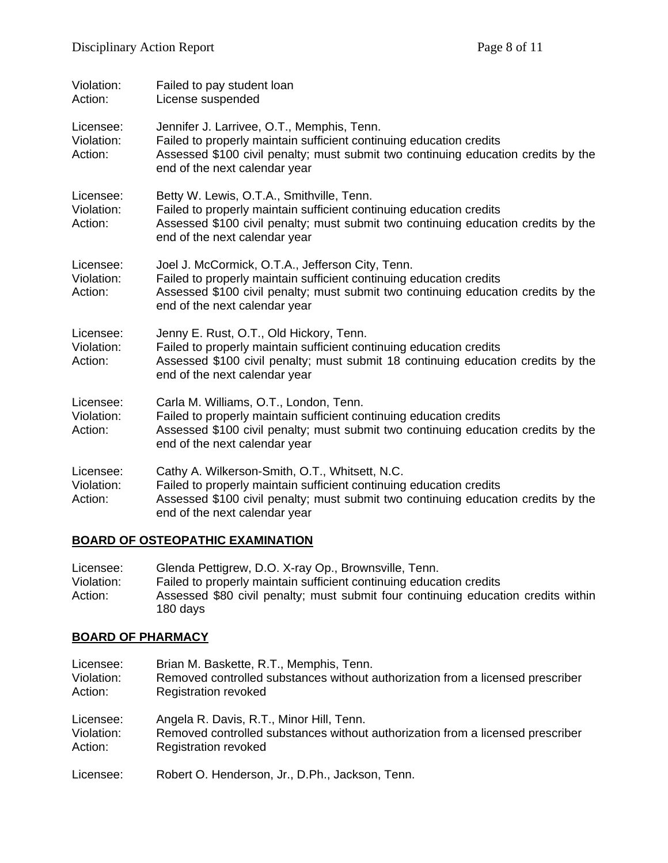| Violation:<br>Action:              | Failed to pay student loan<br>License suspended                                                                                                                                                                                               |
|------------------------------------|-----------------------------------------------------------------------------------------------------------------------------------------------------------------------------------------------------------------------------------------------|
| Licensee:<br>Violation:<br>Action: | Jennifer J. Larrivee, O.T., Memphis, Tenn.<br>Failed to properly maintain sufficient continuing education credits<br>Assessed \$100 civil penalty; must submit two continuing education credits by the<br>end of the next calendar year       |
| Licensee:<br>Violation:<br>Action: | Betty W. Lewis, O.T.A., Smithville, Tenn.<br>Failed to properly maintain sufficient continuing education credits<br>Assessed \$100 civil penalty; must submit two continuing education credits by the<br>end of the next calendar year        |
| Licensee:<br>Violation:<br>Action: | Joel J. McCormick, O.T.A., Jefferson City, Tenn.<br>Failed to properly maintain sufficient continuing education credits<br>Assessed \$100 civil penalty; must submit two continuing education credits by the<br>end of the next calendar year |
| Licensee:<br>Violation:<br>Action: | Jenny E. Rust, O.T., Old Hickory, Tenn.<br>Failed to properly maintain sufficient continuing education credits<br>Assessed \$100 civil penalty; must submit 18 continuing education credits by the<br>end of the next calendar year           |
| Licensee:<br>Violation:<br>Action: | Carla M. Williams, O.T., London, Tenn.<br>Failed to properly maintain sufficient continuing education credits<br>Assessed \$100 civil penalty; must submit two continuing education credits by the<br>end of the next calendar year           |
| Licensee:<br>Violation:<br>Action: | Cathy A. Wilkerson-Smith, O.T., Whitsett, N.C.<br>Failed to properly maintain sufficient continuing education credits<br>Assessed \$100 civil penalty; must submit two continuing education credits by the<br>end of the next calendar year   |

# **BOARD OF OSTEOPATHIC EXAMINATION**

| Licensee:  | Glenda Pettigrew, D.O. X-ray Op., Brownsville, Tenn.                                          |
|------------|-----------------------------------------------------------------------------------------------|
| Violation: | Failed to properly maintain sufficient continuing education credits                           |
| Action:    | Assessed \$80 civil penalty; must submit four continuing education credits within<br>180 days |

# **BOARD OF PHARMACY**

| Licensee:  | Brian M. Baskette, R.T., Memphis, Tenn.                                        |
|------------|--------------------------------------------------------------------------------|
| Violation: | Removed controlled substances without authorization from a licensed prescriber |
| Action:    | <b>Registration revoked</b>                                                    |
| Licensee:  | Angela R. Davis, R.T., Minor Hill, Tenn.                                       |
| Violation: | Removed controlled substances without authorization from a licensed prescriber |
| Action:    | <b>Registration revoked</b>                                                    |
| Licensee:  | Robert O. Henderson, Jr., D.Ph., Jackson, Tenn.                                |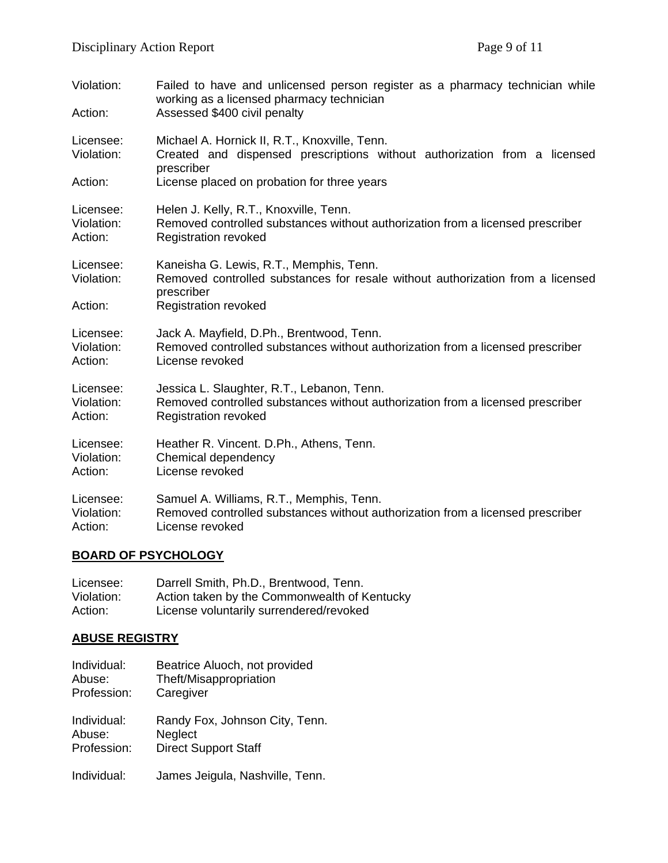| Violation:<br>Action:   | Failed to have and unlicensed person register as a pharmacy technician while<br>working as a licensed pharmacy technician<br>Assessed \$400 civil penalty |
|-------------------------|-----------------------------------------------------------------------------------------------------------------------------------------------------------|
| Licensee:<br>Violation: | Michael A. Hornick II, R.T., Knoxville, Tenn.<br>Created and dispensed prescriptions without authorization from a licensed<br>prescriber                  |
| Action:                 | License placed on probation for three years                                                                                                               |
| Licensee:               | Helen J. Kelly, R.T., Knoxville, Tenn.                                                                                                                    |
| Violation:              | Removed controlled substances without authorization from a licensed prescriber                                                                            |
| Action:                 | <b>Registration revoked</b>                                                                                                                               |
| Licensee:<br>Violation: | Kaneisha G. Lewis, R.T., Memphis, Tenn.<br>Removed controlled substances for resale without authorization from a licensed<br>prescriber                   |
| Action:                 | <b>Registration revoked</b>                                                                                                                               |
| Licensee:               | Jack A. Mayfield, D.Ph., Brentwood, Tenn.                                                                                                                 |
| Violation:              | Removed controlled substances without authorization from a licensed prescriber                                                                            |
| Action:                 | License revoked                                                                                                                                           |
| Licensee:               | Jessica L. Slaughter, R.T., Lebanon, Tenn.                                                                                                                |
| Violation:              | Removed controlled substances without authorization from a licensed prescriber                                                                            |
| Action:                 | <b>Registration revoked</b>                                                                                                                               |
| Licensee:               | Heather R. Vincent. D.Ph., Athens, Tenn.                                                                                                                  |
| Violation:              | Chemical dependency                                                                                                                                       |
| Action:                 | License revoked                                                                                                                                           |
| Licensee:               | Samuel A. Williams, R.T., Memphis, Tenn.                                                                                                                  |
| Violation:              | Removed controlled substances without authorization from a licensed prescriber                                                                            |
| Action:                 | License revoked                                                                                                                                           |

### **BOARD OF PSYCHOLOGY**

| Licensee:  | Darrell Smith, Ph.D., Brentwood, Tenn.       |
|------------|----------------------------------------------|
| Violation: | Action taken by the Commonwealth of Kentucky |
| Action:    | License voluntarily surrendered/revoked      |

# **ABUSE REGISTRY**

| Individual: | Beatrice Aluoch, not provided   |
|-------------|---------------------------------|
| Abuse:      | Theft/Misappropriation          |
| Profession: | Caregiver                       |
| Individual: | Randy Fox, Johnson City, Tenn.  |
| Abuse:      | Neglect                         |
| Profession: | <b>Direct Support Staff</b>     |
| Individual: | James Jeigula, Nashville, Tenn. |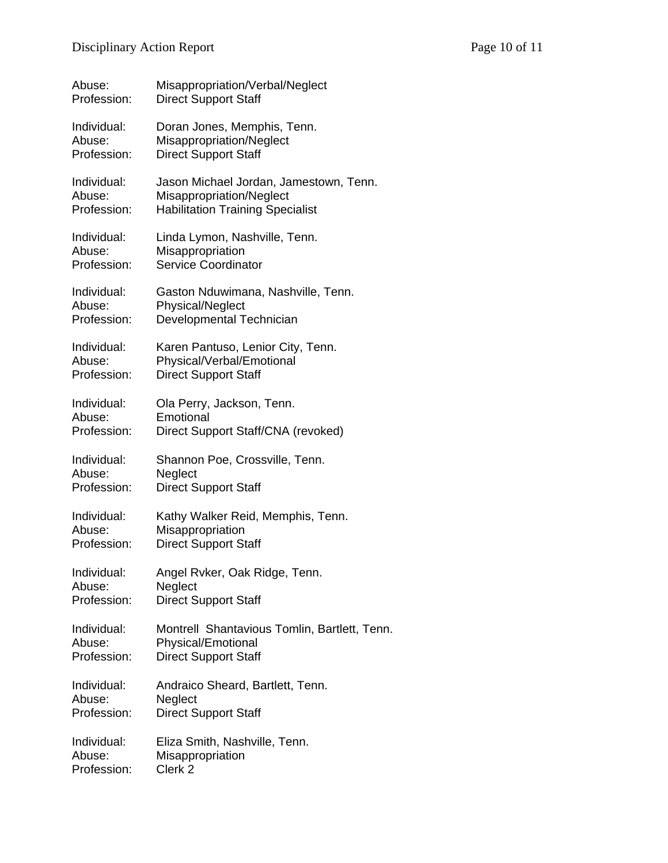| Abuse:      | Misappropriation/Verbal/Neglect              |
|-------------|----------------------------------------------|
| Profession: | <b>Direct Support Staff</b>                  |
| Individual: | Doran Jones, Memphis, Tenn.                  |
| Abuse:      | Misappropriation/Neglect                     |
| Profession: | <b>Direct Support Staff</b>                  |
| Individual: | Jason Michael Jordan, Jamestown, Tenn.       |
| Abuse:      | Misappropriation/Neglect                     |
| Profession: | <b>Habilitation Training Specialist</b>      |
| Individual: | Linda Lymon, Nashville, Tenn.                |
| Abuse:      | Misappropriation                             |
| Profession: | <b>Service Coordinator</b>                   |
| Individual: | Gaston Nduwimana, Nashville, Tenn.           |
| Abuse:      | Physical/Neglect                             |
| Profession: | Developmental Technician                     |
| Individual: | Karen Pantuso, Lenior City, Tenn.            |
| Abuse:      | Physical/Verbal/Emotional                    |
| Profession: | <b>Direct Support Staff</b>                  |
| Individual: | Ola Perry, Jackson, Tenn.                    |
| Abuse:      | Emotional                                    |
| Profession: | Direct Support Staff/CNA (revoked)           |
| Individual: | Shannon Poe, Crossville, Tenn.               |
| Abuse:      | Neglect                                      |
| Profession: | <b>Direct Support Staff</b>                  |
| Individual: | Kathy Walker Reid, Memphis, Tenn.            |
| Abuse:      | Misappropriation                             |
| Profession: | <b>Direct Support Staff</b>                  |
| Individual: | Angel Rvker, Oak Ridge, Tenn.                |
| Abuse:      | Neglect                                      |
| Profession: | <b>Direct Support Staff</b>                  |
| Individual: | Montrell Shantavious Tomlin, Bartlett, Tenn. |
| Abuse:      | <b>Physical/Emotional</b>                    |
| Profession: | <b>Direct Support Staff</b>                  |
| Individual: | Andraico Sheard, Bartlett, Tenn.             |
| Abuse:      | Neglect                                      |
| Profession: | <b>Direct Support Staff</b>                  |
| Individual: | Eliza Smith, Nashville, Tenn.                |
| Abuse:      | Misappropriation                             |
| Profession: | Clerk <sub>2</sub>                           |